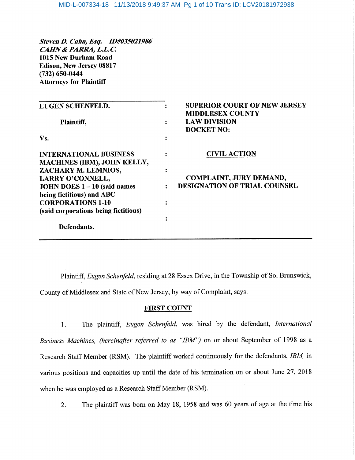StevenD. Cahn, Esq. - ID#035021986 CAHN& PAKRA, L.L.C. 1015 New Durham Road Edison, New Jersey 08817 (732) 650-0444 Attorneys for Plaintiff

| <b>EUGEN SCHENFELD.</b>              | <b>SUPERIOR COURT OF NEW JERSEY</b>                                 |
|--------------------------------------|---------------------------------------------------------------------|
| Plaintiff,                           | <b>MIDDLESEX COUNTY</b><br><b>LAW DIVISION</b><br><b>DOCKET NO:</b> |
| Vs.                                  |                                                                     |
| <b>INTERNATIONAL BUSINESS</b>        | <b>CIVIL ACTION</b>                                                 |
| <b>MACHINES (IBM), JOHN KELLY,</b>   |                                                                     |
| ZACHARY M. LEMNIOS,                  |                                                                     |
| LARRY O'CONNELL,                     | <b>COMPLAINT, JURY DEMAND,</b>                                      |
| JOHN DOES $1 - 10$ (said names       | <b>DESIGNATION OF TRIAL COUNSEL</b>                                 |
| being fictitious) and ABC            |                                                                     |
| <b>CORPORATIONS 1-10</b>             |                                                                     |
| (said corporations being fictitious) |                                                                     |
|                                      |                                                                     |
| Defendants.                          |                                                                     |

Plaintiff, Eugen Schenfeld, residing at 28 Essex Drive, in the Township of So. Brunswick, County of Middlesex and State of New Jersey, by way of Complaint, says:

# FIRST COUNT

1. The plaintiff, Eugen Schenfeld, was hired by the defendant, International Business Machines, (hereinafter referred to as "IBM") on or about September of 1998 as a Research Staff Member (RSM). The plaintiff worked continuously for the defendants, IBM, in various positions and capacities up until the date of his termination on or about June 27, 2018 when he was employed as a Research Staff Member (RSM).

2. The plaintiff was born on May 18, 1958 and was 60 years of age at the time his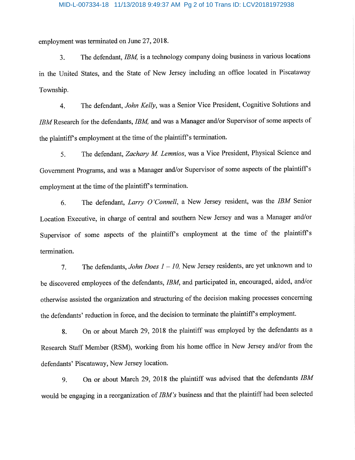# MID-L-007334-18 11/13/2018 9:49:37 AM Pg 2 of 10 Trans ID: LCV20181972938

employment was terminated on June 27,2018.

3. The defendant, IBM, is a technology company doing business in various locations in the United States, and the State of New Jersey including an office located in Piscataway Township.

4. The defendant, John Kelly, was a Senior Vice President, Cognitive Solutions and IBM Research for the defendants, IBM, and was a Manager and/or Supervisor of some aspects of the plaintiff's employment at the time of the plaintiff's termination.

5. The defendant, Zachary M. Lemnios, was a Vice President, Physical Science and Government Programs, and was a Manager and/or Supervisor of some aspects of the plaintiffs employment at the time of the plaintiff's termination.

6. The defendant, Larry O'Connell, a New Jersey resident, was the IBM Senior Location Executive, in charge of central and southern New Jersey and was a Manager and/or Supervisor of some aspects of the plaintiff's employment at the time of the plaintiff's termination.

7. The defendants, John Does  $1-10$ , New Jersey residents, are yet unknown and to be discovered employees of the defendants, IBM, and participated in, encouraged, aided, and/or otherwise assisted the organization and structuring of the decision making processes concerning the defendants' reduction in force, and the decision to terminate the plaintiff's employment.

8. On or about March 29, 2018 the plaintiff was employed by the defendants as a Research Staff Member (RSM), working from his home office in New Jersey and/or from the defendants' Piscataway, New Jersey location.

9. On or about March 29, 2018 the plaintiff was advised that the defendants IBM would be engaging in a reorganization of IBM's business and that the plaintiff had been selected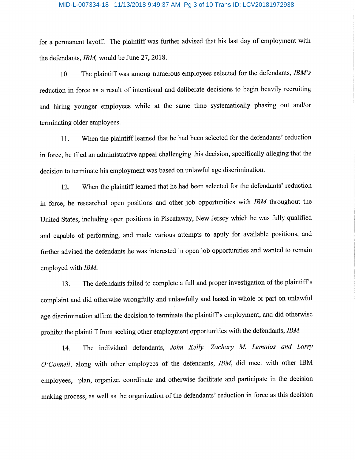# MID-L-007334-18 11/13/2018 9:49:37 AM Pg 3 of 10 Trans ID: LCV20181972938

for a permanent layoff. The plaintiff was further advised that his last day of employment with the defendants, IBM, would be June 27, 2018.

10. The plaintiff was among numerous employees selected for the defendants,  $IBM's$ reduction in force as a result of intentional and deliberate decisions to begin heavily recruiting and hiring younger employees while at the same time systematically phasing out and/or terminating older employees.

11. When the plaintiff learned that he had been selected for the defendants' reduction in force, he filed an administrative appeal challenging this decision, specifically alleging that the decision to terminate his employment was based on unlawful age discrimination.

12. When the plaintiff learned that he had been selected for the defendants' reduction in force, he researched open positions and other job opportunities with IBM throughout the United States, includmg open positions in Piscataway, New Jersey which he was fully qualified and capable of performing, and made various attempts to apply for available positions, and further advised the defendants he was interested in open job opportunities and wanted to remain employed with IBM.

13. The defendants failed to complete a full and proper investigation of the plaintiffs complaint and did otherwise wrongfully and unlawfully and based in whole or part on unlawful age discrimination affirm the decision to terminate the plaintiff's employment, and did otherwise prohibit the plaintiff from seeking other employment opportunities with the defendants, IBM.

14. The individual defendants, John Kelly, Zachary M. Lemnios and Larry O'Connell, along with other employees of the defendants, IBM, did meet with other IBM employees, plan, organize, coordinate and otherwise facilitate and participate in the decision making process, as well as the organization of the defendants' reduction m force as this decision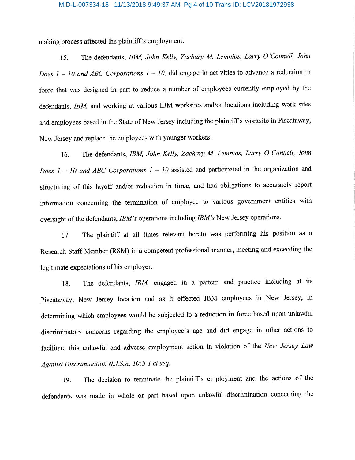# MID-L-007334-18 11/13/2018 9:49:37 AM Pg 4 of 10 Trans ID: LCV20181972938

making process affected the plaintiff's employment.

15. The defendants, IBM, John Kelly, Zachary M. Lemnios, Larry O'Connell, John Does  $1-10$  and ABC Corporations  $1-10$ , did engage in activities to advance a reduction in force that was designed in part to reduce a number of employees currently employed by the defendants, IBM, and working at various IBM worksites and/or locations including work sites and employees based in the State of New Jersey including the plaintiff's worksite in Piscataway, New Jersey and replace the employees with younger workers.

16. The defendants, IBM, John Kelly, Zachary M. Lemnios, Larry O'Connell, John Does  $1-10$  and ABC Corporations  $1-10$  assisted and participated in the organization and structuring of this layoff and/or reduction in force, and had obligations to accurately report information concerning the termination of employee to various government entities with oversight of the defendants, IBM's operations including IBM's New Jersey operations.

17. The plaintiff at all times relevant hereto was performing his position as a Research Staff Member (RSM) in a competent professional manner, meeting and exceeding the legitimate expectations of his employer.

18. The defendants, IBM, engaged in a pattern and practice including at its Piscataway, New Jersey location and as it effected IBM employees in New Jersey, in determining which employees would be subjected to a reduction in force based upon unlawful discriminatory concerns regarding the employee's age and did engage in other actions to facilitate this unlawful and adverse employment action in violation of the New Jersey Law Against Discrimination N.J.S.A. 10:5-1 et seq.

19. The decision to terminate the plaintiffs employment and the actions of the defendants was made in whole or part based upon unlawful discrimination concerning the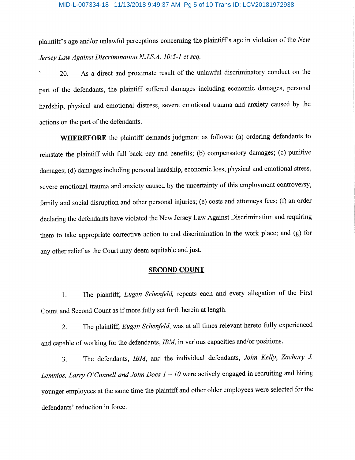plaintiffs age and/or unlawful perceptions concerning the plaintiffs age in violation of the New Jersey Law Against Discrimination N.J.S.A. 10:5-1 et seq.

20. As a direct and proximate result of the unlawful discriminatory conduct on the part of the defendants, the plaintiff suffered damages including economic damages, personal hardship, physical and emotional distress, severe emotional trauma and anxiety caused by the actions on the part of the defendants.

WHEREFORE the plaintiff demands judgment as follows: (a) ordering defendants to reinstate the plaintiff with fall back pay and benefits; (b) compensatory damages; (c) punitive damages; (d) damages including personal hardship, economic loss, physical and emotional stress, severe emotional trauma and anxiety caused by the uncertainty of this employment controversy, family and social disruption and other personal injuries; (e) costs and attorneys fees; (f) an order declaring the defendants have violated the New Jersey Law Against Discrimination and requiring them to take appropriate corrective action to end discrimination in the work place; and (g) for any other relief as the Court may deem equitable and just.

# SECOND COUNT

1. The plaintiff, *Eugen Schenfeld*, repeats each and every allegation of the First Count and Second Count as if more fully set forth herein at length.

2. The plaintiff, Eugen Schenfeld, was at all times relevant hereto fully experienced and capable of working for the defendants, IBM, in various capacities and/or positions.

3. The defendants, IBM, and the individual defendants, John Kelly, Zachary J. Lemnios, Larry O'Connell and John Does  $1-10$  were actively engaged in recruiting and hiring younger employees at the same time the plaintiff and other older employees were selected for the defendants' reduction in force.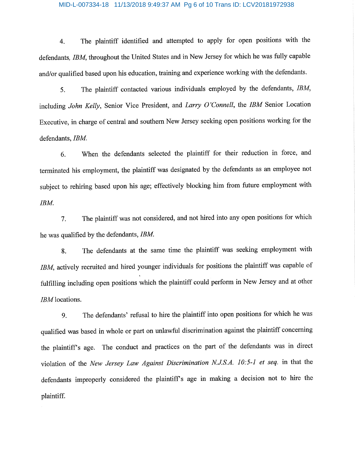# MID-L-007334-18 11/13/2018 9:49:37 AM Pg 6 of 10 Trans ID: LCV20181972938

4. The plaintiff identified and attempted to apply for open positions with the defendants, IBM, throughout the United States and in New Jersey for which he was fully capable and/or qualified based upon his education, training and experience working with the defendants.

5. The plaintiff contacted various individuals employed by the defendants, IBM, including John Kelly, Senior Vice President, and Larry O'Connell, the IBM Senior Location Executive, in charge of central and southern New Jersey seeking open positions working for the defendants, IBM.

6. When the defendants selected the plaintiff for their reduction in force, and terminated his employment, the plaintiff was designated by the defendants as an employee not subject to rehiring based upon his age; effectively blocking him from future employment with IBM.

7. The plaintiff was not considered, and not hired into any open positions for which he was qualified by the defendants, IBM.

8. The defendants at the same time the plaintiff was seeking employment with IBM, actively recruited and hired younger individuals for positions the plaintiff was capable of fulfilling including open positions which the plaintiff could perform in New Jersey and at other IBM locations.

9. The defendants' refusal to hire the plaintiff into open positions for which he was qualified was based in whole or part on unlawful discrimination against the plaintiff concerning the plaintiff's age. The conduct and practices on the part of the defendants was in direct violation of the New Jersey Law Against Discrimination N.J.S.A. 10:5-1 et seq. in that the defendants improperly considered the plaintifPs age in making a decision not to hire the plaintiff.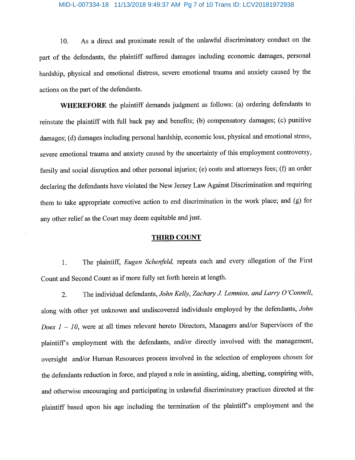# MID-L-007334-18 11/13/2018 9:49:37 AM Pg 7 of 10 Trans ID: LCV20181972938

10. As a direct and proximate result of the unlawful discriminatory conduct on the part of the defendants, the plaintiff suffered damages including economic damages, personal hardship, physical and emotional distress, severe emotional trauma and anxiety caused by the actions on the part of the defendants.

WHEREFORE the plaintiff demands judgment as follows: (a) ordering defendants to reinstate the plaintiff with fall back pay and benefits; (b) compensatory damages; (c) punitive damages; (d) damages including personal hardship, economic loss, physical and emotional stress, severe emotional trauma and anxiety caused by the uncertainty of this employment controversy, family and social disruption and other personal injuries; (e) costs and attorneys fees; (f) an order declaring the defendants have violated the New Jersey Law Against Discrimination and requiring them to take appropriate corrective action to end discrimination in the work place; and (g) for any other relief as the Court may deem equitable and just.

# THIRD COUNT

1. The plaintiff, Eugen Schenfeld, repeats each and every allegation of the First Count and Second Count as if more fully set forth herein at length.

2. The individual defendants, John Kelly, Zachary J. Lemnios, and Larry O'Connell, along with other yet unknown and undiscovered individuals employed by the defendants, John Does  $1-10$ , were at all times relevant hereto Directors, Managers and/or Supervisors of the plaintiff's employment with the defendants, and/or directly involved with the management, oversight and/or Human Resources process involved in the selection of employees chosen for the defendants reduction in force, and played a role in assisting, aiding, abetting, conspiring with, and otherwise encouraging and participating in unlawful discriminatory practices directed at the plaintiff based upon his age including the termination of the plaintiff's employment and the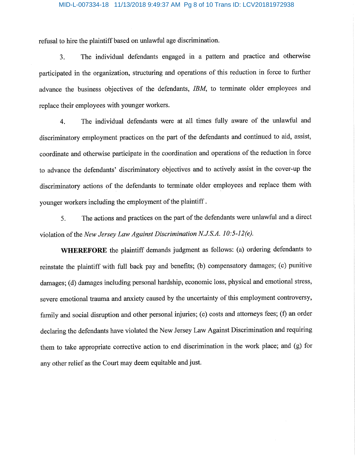# MID-L-007334-18 11/13/2018 9:49:37 AM Pg 8 of 10 Trans ID: LCV20181972938

refusal to hire the plaintiff based on unlawful age discrimination.

3. The individual defendants engaged in a pattern and practice and otherwise participated in the organization, structuring and operations of this reduction in force to further advance the business objectives of the defendants, IBM, to terminate older employees and replace their employees with younger workers.

4. The individual defendants were at all times fully aware of the unlawful and discriminatory employment practices on the part of the defendants and continued to aid, assist, coordinate and otherwise participate in the coordination and operations of the reduction in force to advance the defendants' discriminatory objectives and to actively assist in the cover-up the discriminatory actions of the defendants to terminate older employees and replace them with younger workers including the employment of the plaintiff.

5. The actions and practices on the part of the defendants were unlawful and a direct violation of the New Jersey Law Against Discrimination N.J.S.A. 10:5-12(e).

WHEREFORE the plaintiff demands judgment as follows: (a) ordering defendants to reinstate the plaintiff with full back pay and benefits; (b) compensatory damages; (c) punitive damages; (d) damages including personal hardship, economic loss, physical and emotional stress, severe emotional trauma and anxiety caused by the uncertainty of this employment controversy, family and social disruption and other personal injuries; (e) costs and attorneys fees; (f) an order declaring the defendants have violated the New Jersey Law Against Discrimination and requiring them to take appropriate corrective action to end discrimination in the work place; and (g) for any other relief as the Court may deem equitable and just.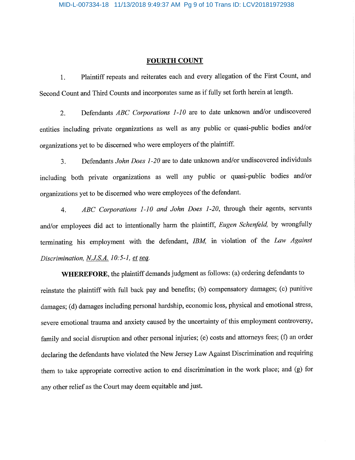# FOURTH COUNT

1. Plaintiff repeats and reiterates each and every allegation of the First Count, and Second Count and Third Counts and incorporates same as if fully set forth herein at length.

2. Defendants *ABC Corporations 1-10* are to date unknown and/or undiscovered entities including private organizations as well as any public or quasi-public bodies and/or organizations yet to be discerned who were employers of the plaintiff.

3. Defendants John Does 1-20 are to date unknown and/or undiscovered individuals including both private organizations as well any public or quasi-public bodies and/or organizations yet to be discerned who were employees of the defendant.

4. ABC Corporations 1-10 and John Does 1-20, through their agents, servants and/or employees did act to intentionally harm the plaintiff, Eugen Schenfeld, by wrongfully terminating his employment with the defendant, IBM, in violation of the Law Against Discrimination,  $N.S.A.$  10:5-1, et seq.

WHEREFORE, the plaintiff demands judgment as follows: (a) ordering defendants to reinstate the plaintiff with full back pay and benefits; (b) compensatory damages; (c) punitive damages; (d) damages including personal hardship, economic loss, physical and emotional stress, severe emotional trauma and anxiety caused by the uncertainty of this employment controversy, family and social disruption and other personal injuries; (e) costs and attorneys fees; (f) an order declaring the defendants have violated the New Jersey Law Against Discrimination and requiring them to take appropriate corrective action to end discrimination in the work place; and (g) for any other relief as the Court may deem equitable and just.